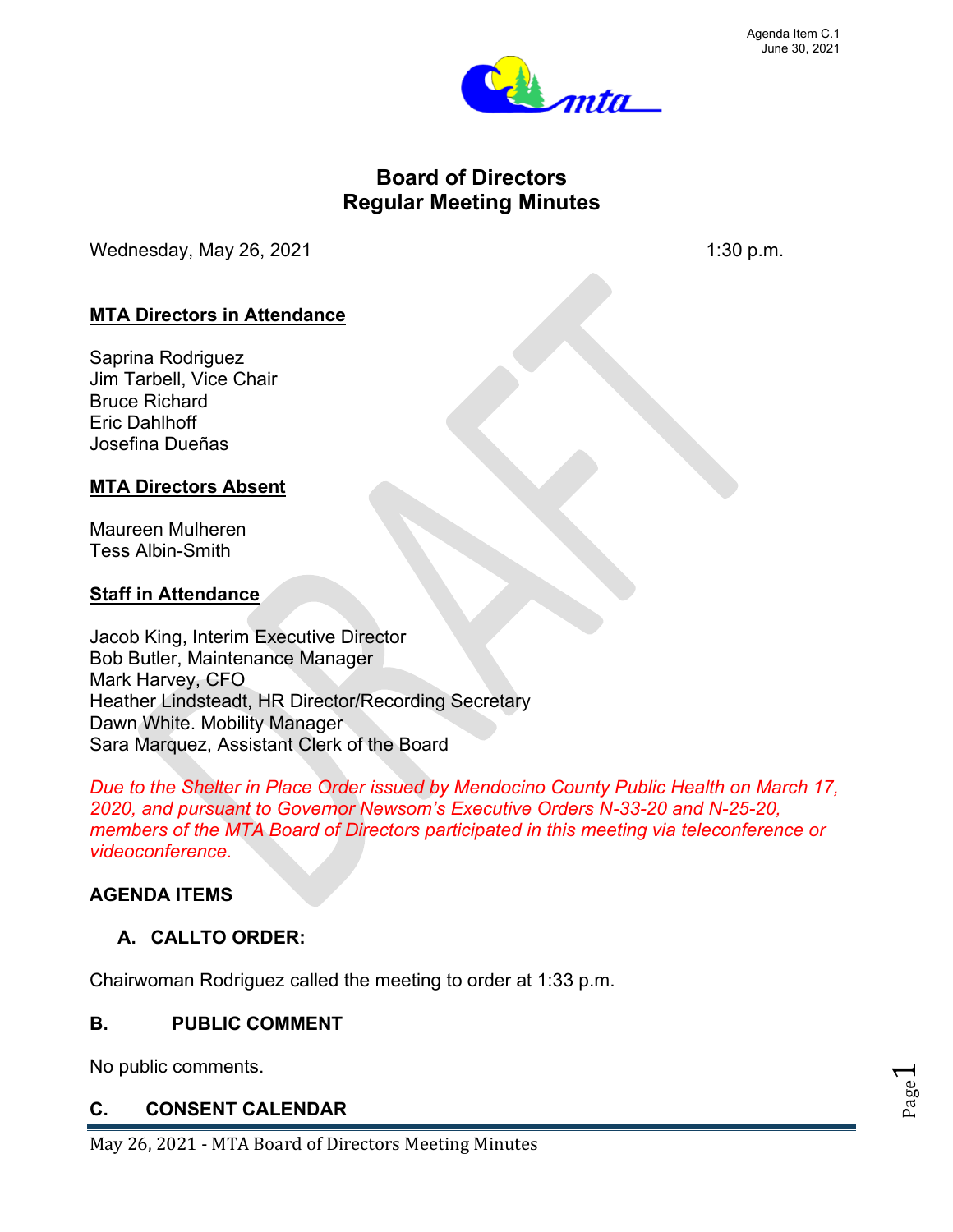

# **Board of Directors Regular Meeting Minutes**

Wednesday, May 26, 2021  $\blacksquare$  1:30 p.m.

# **MTA Directors in Attendance**

Saprina Rodriguez Jim Tarbell, Vice Chair Bruce Richard Eric Dahlhoff Josefina Dueñas

# **MTA Directors Absent**

Maureen Mulheren Tess Albin-Smith

# **Staff in Attendance**

Jacob King, Interim Executive Director Bob Butler, Maintenance Manager Mark Harvey, CFO Heather Lindsteadt, HR Director/Recording Secretary Dawn White. Mobility Manager Sara Marquez, Assistant Clerk of the Board

*Due to the Shelter in Place Order issued by Mendocino County Public Health on March 17, 2020, and pursuant to Governor Newsom's Executive Orders N-33-20 and N-25-20, members of the MTA Board of Directors participated in this meeting via teleconference or videoconference.*

# **AGENDA ITEMS**

# **A. CALLTO ORDER:**

Chairwoman Rodriguez called the meeting to order at 1:33 p.m.

#### **B. PUBLIC COMMENT**

No public comments.

# **C. CONSENT CALENDAR**

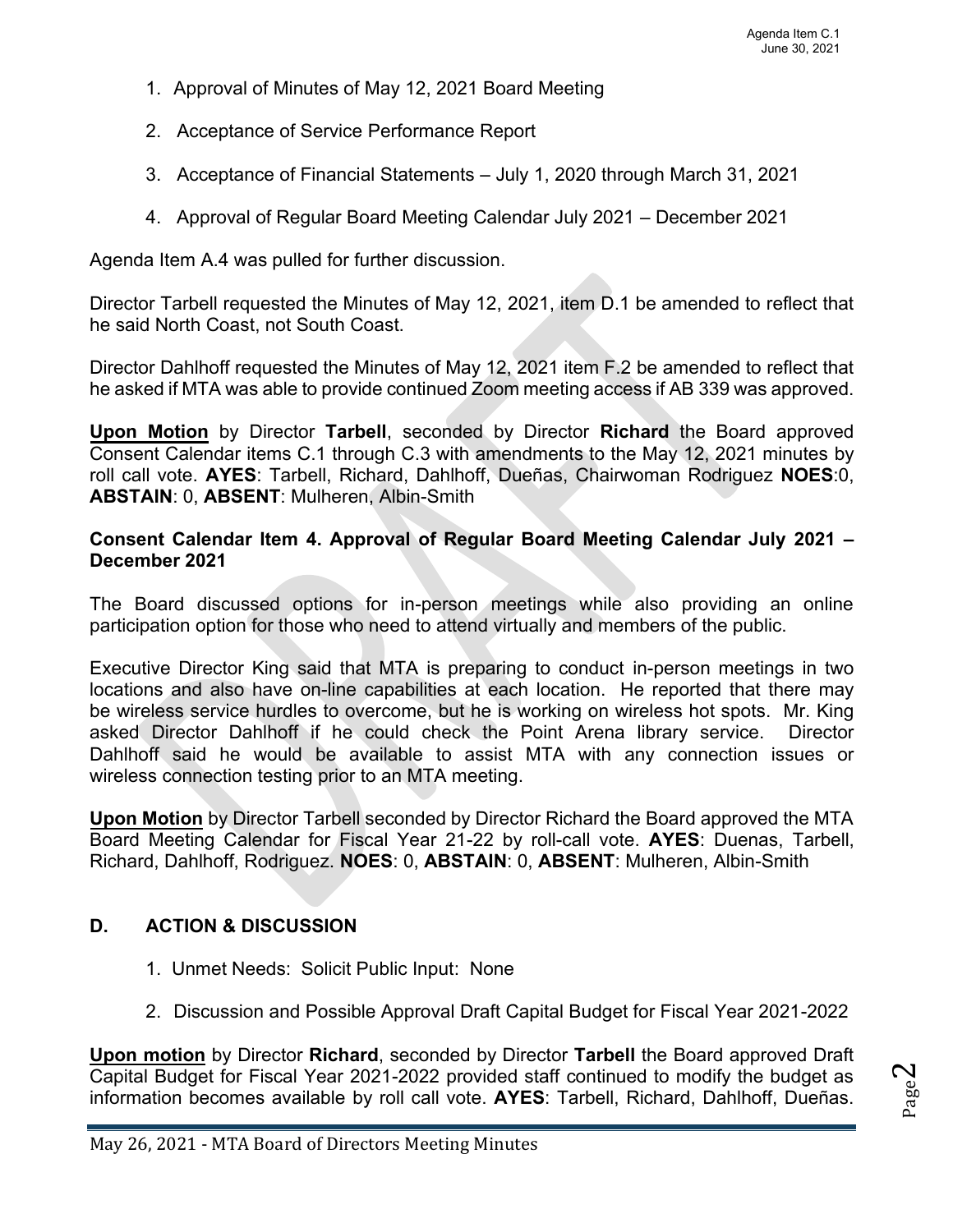- 1. Approval of Minutes of May 12, 2021 Board Meeting
- 2. Acceptance of Service Performance Report
- 3. Acceptance of Financial Statements July 1, 2020 through March 31, 2021
- 4. Approval of Regular Board Meeting Calendar July 2021 December 2021

Agenda Item A.4 was pulled for further discussion.

Director Tarbell requested the Minutes of May 12, 2021, item D.1 be amended to reflect that he said North Coast, not South Coast.

Director Dahlhoff requested the Minutes of May 12, 2021 item F.2 be amended to reflect that he asked if MTA was able to provide continued Zoom meeting access if AB 339 was approved.

**Upon Motion** by Director **Tarbell**, seconded by Director **Richard** the Board approved Consent Calendar items C.1 through C.3 with amendments to the May 12, 2021 minutes by roll call vote. **AYES**: Tarbell, Richard, Dahlhoff, Dueñas, Chairwoman Rodriguez **NOES**:0, **ABSTAIN**: 0, **ABSENT**: Mulheren, Albin-Smith

#### **Consent Calendar Item 4. Approval of Regular Board Meeting Calendar July 2021 – December 2021**

The Board discussed options for in-person meetings while also providing an online participation option for those who need to attend virtually and members of the public.

Executive Director King said that MTA is preparing to conduct in-person meetings in two locations and also have on-line capabilities at each location. He reported that there may be wireless service hurdles to overcome, but he is working on wireless hot spots. Mr. King asked Director Dahlhoff if he could check the Point Arena library service. Director Dahlhoff said he would be available to assist MTA with any connection issues or wireless connection testing prior to an MTA meeting.

**Upon Motion** by Director Tarbell seconded by Director Richard the Board approved the MTA Board Meeting Calendar for Fiscal Year 21-22 by roll-call vote. **AYES**: Duenas, Tarbell, Richard, Dahlhoff, Rodriguez. **NOES**: 0, **ABSTAIN**: 0, **ABSENT**: Mulheren, Albin-Smith

#### **D. ACTION & DISCUSSION**

- 1. Unmet Needs: Solicit Public Input: None
- 2. Discussion and Possible Approval Draft Capital Budget for Fiscal Year 2021-2022

**Upon motion** by Director **Richard**, seconded by Director **Tarbell** the Board approved Draft Capital Budget for Fiscal Year 2021-2022 provided staff continued to modify the budget as information becomes available by roll call vote. **AYES**: Tarbell, Richard, Dahlhoff, Dueñas.